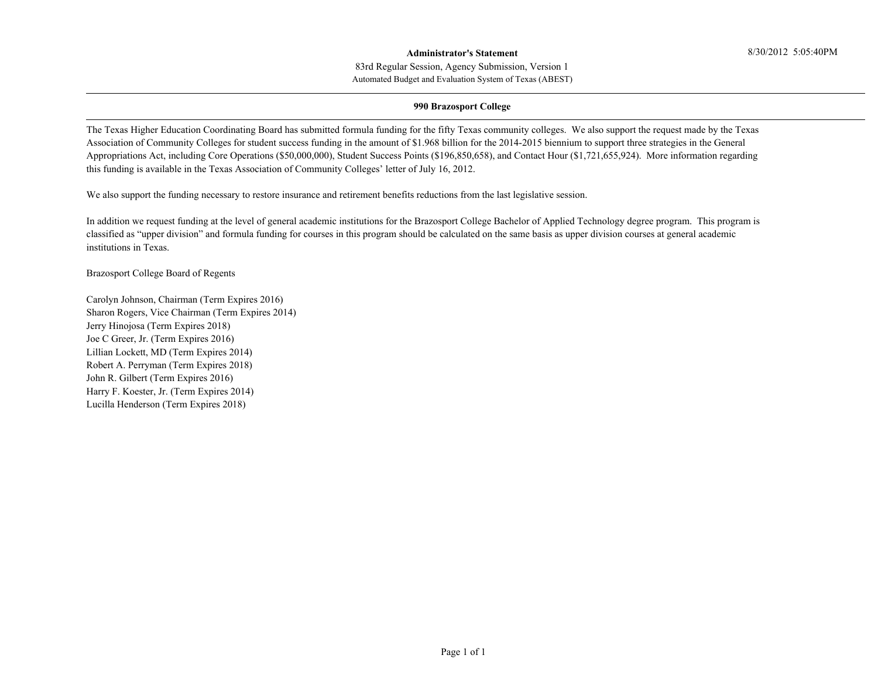#### **Administrator's Statement**

Automated Budget and Evaluation System of Texas (ABEST) 83rd Regular Session, Agency Submission, Version 1

#### **990 Brazosport College**

The Texas Higher Education Coordinating Board has submitted formula funding for the fifty Texas community colleges. We also support the request made by the Texas Association of Community Colleges for student success funding in the amount of \$1.968 billion for the 2014-2015 biennium to support three strategies in the General Appropriations Act, including Core Operations (\$50,000,000), Student Success Points (\$196,850,658), and Contact Hour (\$1,721,655,924). More information regarding this funding is available in the Texas Association of Community Colleges' letter of July 16, 2012.

We also support the funding necessary to restore insurance and retirement benefits reductions from the last legislative session.

In addition we request funding at the level of general academic institutions for the Brazosport College Bachelor of Applied Technology degree program. This program is classified as "upper division" and formula funding for courses in this program should be calculated on the same basis as upper division courses at general academic institutions in Texas.

Brazosport College Board of Regents

Carolyn Johnson, Chairman (Term Expires 2016) Sharon Rogers, Vice Chairman (Term Expires 2014) Jerry Hinojosa (Term Expires 2018) Joe C Greer, Jr. (Term Expires 2016) Lillian Lockett, MD (Term Expires 2014) Robert A. Perryman (Term Expires 2018) John R. Gilbert (Term Expires 2016) Harry F. Koester, Jr. (Term Expires 2014) Lucilla Henderson (Term Expires 2018)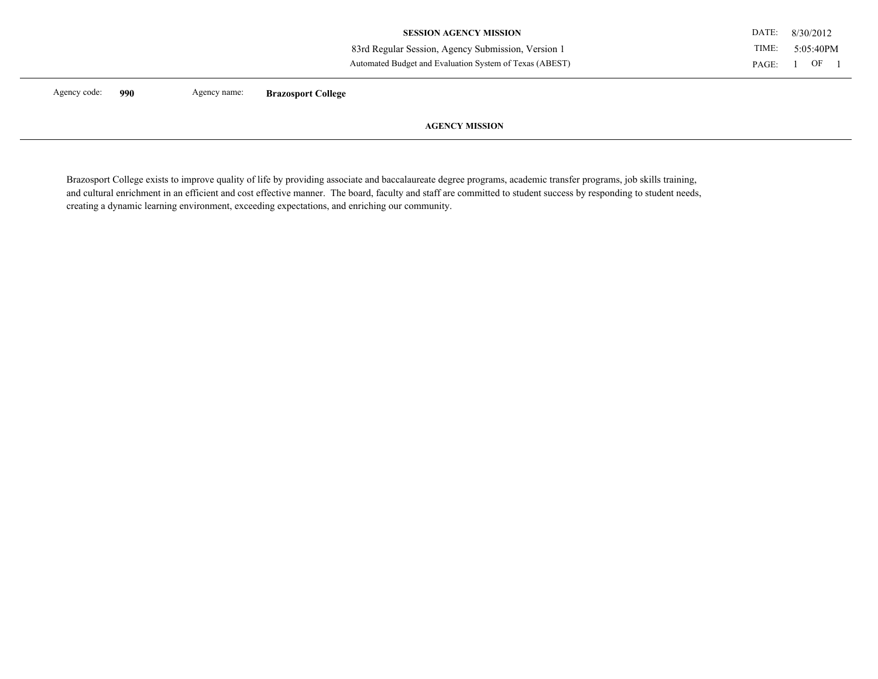| Agency code: | 990 | Agency name: | <b>Brazosport College</b>                               |       |           |  |
|--------------|-----|--------------|---------------------------------------------------------|-------|-----------|--|
|              |     |              | Automated Budget and Evaluation System of Texas (ABEST) | PAGE: | OF        |  |
|              |     |              | 83rd Regular Session, Agency Submission, Version 1      | TIME: | 5:05:40PM |  |
|              |     |              | <b>SESSION AGENCY MISSION</b>                           | DATE: | 8/30/2012 |  |

**AGENCY MISSION** 

Brazosport College exists to improve quality of life by providing associate and baccalaureate degree programs, academic transfer programs, job skills training, and cultural enrichment in an efficient and cost effective manner. The board, faculty and staff are committed to student success by responding to student needs, creating a dynamic learning environment, exceeding expectations, and enriching our community.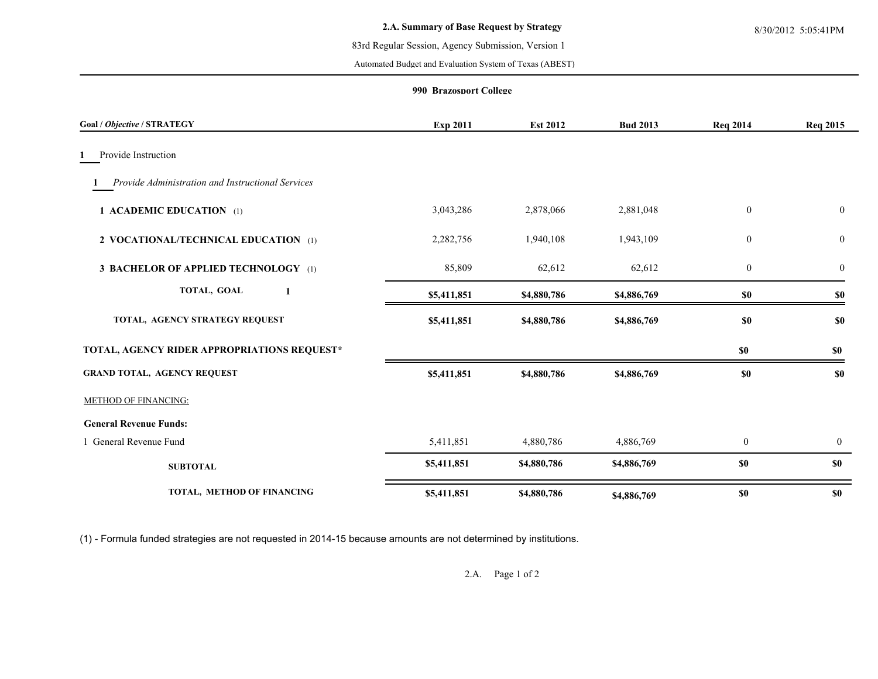Automated Budget and Evaluation System of Texas (ABEST)

## **990 Brazosport College**

| Goal / Objective / STRATEGY                       | Exp 2011    | <b>Est 2012</b> | <b>Bud 2013</b> | <b>Req 2014</b>  | <b>Req 2015</b>  |
|---------------------------------------------------|-------------|-----------------|-----------------|------------------|------------------|
| Provide Instruction                               |             |                 |                 |                  |                  |
| Provide Administration and Instructional Services |             |                 |                 |                  |                  |
| 1 ACADEMIC EDUCATION (1)                          | 3,043,286   | 2,878,066       | 2,881,048       | $\boldsymbol{0}$ | $\boldsymbol{0}$ |
| 2 VOCATIONAL/TECHNICAL EDUCATION (1)              | 2,282,756   | 1,940,108       | 1,943,109       | $\bf{0}$         | $\bf{0}$         |
| <b>3 BACHELOR OF APPLIED TECHNOLOGY</b> (1)       | 85,809      | 62,612          | 62,612          | $\mathbf{0}$     | $\boldsymbol{0}$ |
| TOTAL, GOAL<br>1                                  | \$5,411,851 | \$4,880,786     | \$4,886,769     | $\$0$            | \$0              |
| TOTAL, AGENCY STRATEGY REQUEST                    | \$5,411,851 | \$4,880,786     | \$4,886,769     | \$0              | \$0              |
| TOTAL, AGENCY RIDER APPROPRIATIONS REQUEST*       |             |                 |                 | \$0              | \$0              |
| <b>GRAND TOTAL, AGENCY REQUEST</b>                | \$5,411,851 | \$4,880,786     | \$4,886,769     | \$0              | \$0              |
| <b>METHOD OF FINANCING:</b>                       |             |                 |                 |                  |                  |
| <b>General Revenue Funds:</b>                     |             |                 |                 |                  |                  |
| 1 General Revenue Fund                            | 5,411,851   | 4,880,786       | 4,886,769       | $\boldsymbol{0}$ | $\mathbf{0}$     |
| <b>SUBTOTAL</b>                                   | \$5,411,851 | \$4,880,786     | \$4,886,769     | \$0              | \$0              |
| TOTAL, METHOD OF FINANCING                        | \$5,411,851 | \$4,880,786     | \$4,886,769     | $\$0$            | <b>\$0</b>       |

(1) - Formula funded strategies are not requested in 2014-15 because amounts are not determined by institutions.

2.A. Page 1 of 2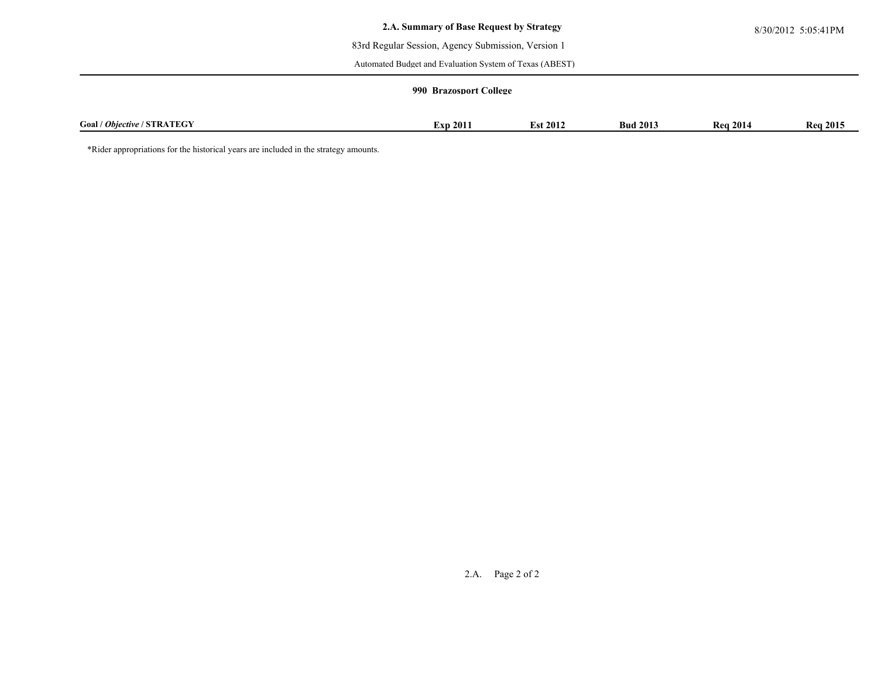Automated Budget and Evaluation System of Texas (ABEST)

## **990 Brazosport College**

| $\sim$<br>$\mathbf{u}$<br><b>FOR OX</b><br>Goal<br>/ <i>Objective</i><br>STRATEGY | 2011<br>ÆО | 2012 | 2013<br><b>Bud</b> | 2014<br>ĸ, | 2015<br>Kea |
|-----------------------------------------------------------------------------------|------------|------|--------------------|------------|-------------|

\*Rider appropriations for the historical years are included in the strategy amounts.

2.A. Page 2 of 2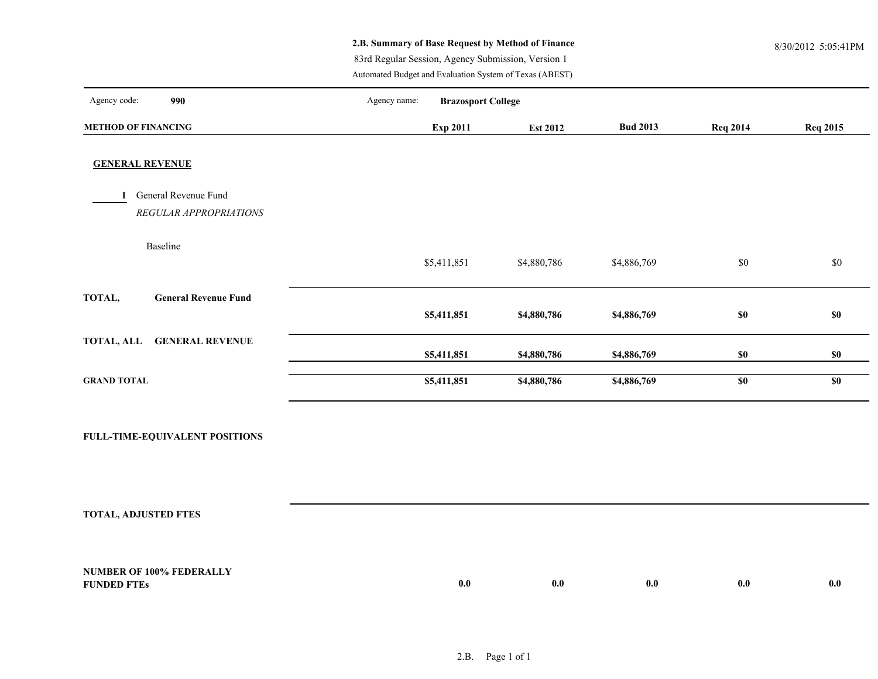# **2.B. Summary of Base Request by Method of Finance** 8/30/2012 5:05:41PM

83rd Regular Session, Agency Submission, Version 1

Automated Budget and Evaluation System of Texas (ABEST)

| Agency code:<br>990                            | Agency name: | <b>Brazosport College</b> |                 |                 |                 |                 |
|------------------------------------------------|--------------|---------------------------|-----------------|-----------------|-----------------|-----------------|
| <b>METHOD OF FINANCING</b>                     |              | <b>Exp 2011</b>           | <b>Est 2012</b> | <b>Bud 2013</b> | <b>Req 2014</b> | <b>Req 2015</b> |
| <b>GENERAL REVENUE</b>                         |              |                           |                 |                 |                 |                 |
| General Revenue Fund<br>REGULAR APPROPRIATIONS |              |                           |                 |                 |                 |                 |
| Baseline                                       | \$5,411,851  |                           | \$4,880,786     | \$4,886,769     | \$0             | $\$0$           |
| TOTAL,<br><b>General Revenue Fund</b>          | \$5,411,851  |                           | \$4,880,786     | \$4,886,769     | \$0             | \$0             |
| <b>GENERAL REVENUE</b><br><b>TOTAL, ALL</b>    | \$5,411,851  |                           | \$4,880,786     | \$4,886,769     | \$0             | \$0             |
| <b>GRAND TOTAL</b>                             | \$5,411,851  |                           | \$4,880,786     | \$4,886,769     | $\$0$           | \$0             |
|                                                |              |                           |                 |                 |                 |                 |

**FULL-TIME-EQUIVALENT POSITIONS**

**TOTAL, ADJUSTED FTES**

| <b>NUMBER OF</b><br>$100\%$<br>$\sim$ $\sim$ FEDERALL. |     |     |     |     |     |
|--------------------------------------------------------|-----|-----|-----|-----|-----|
| <b>FUNDED</b><br>'IL'                                  | 0.0 | 0.0 | v.v | v.v | 0.0 |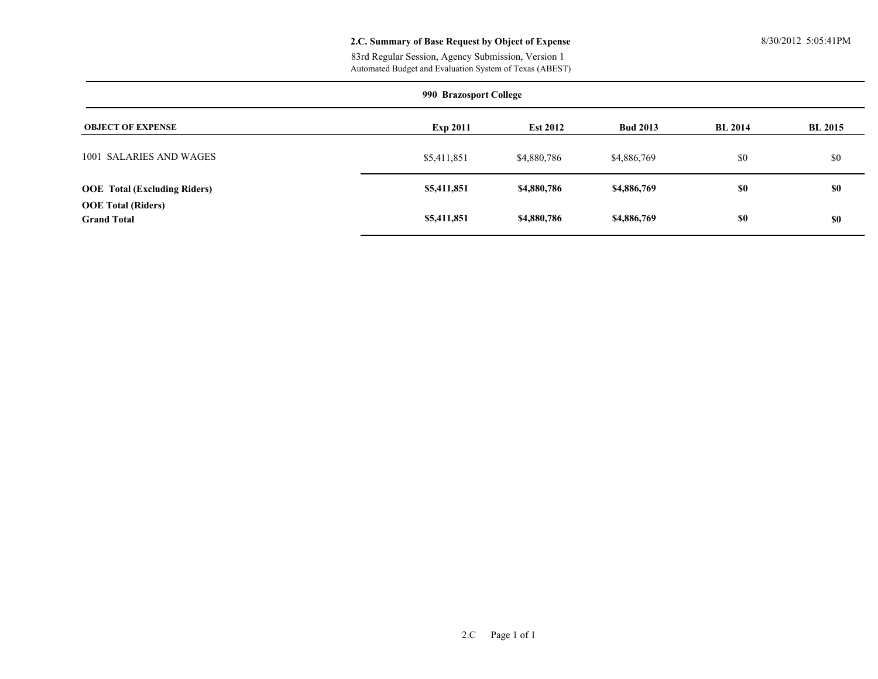## **2.C. Summary of Base Request by Object of Expense** 8/30/2012 5:05:41PM

Automated Budget and Evaluation System of Texas (ABEST) 83rd Regular Session, Agency Submission, Version 1

| 990 Brazosport College                          |                 |                 |                 |                |                |  |  |  |  |  |  |
|-------------------------------------------------|-----------------|-----------------|-----------------|----------------|----------------|--|--|--|--|--|--|
| <b>OBJECT OF EXPENSE</b>                        | <b>Exp 2011</b> | <b>Est 2012</b> | <b>Bud 2013</b> | <b>BL 2014</b> | <b>BL 2015</b> |  |  |  |  |  |  |
| 1001 SALARIES AND WAGES                         | \$5,411,851     | \$4,880,786     | \$4,886,769     | \$0            | \$0            |  |  |  |  |  |  |
| <b>OOE</b> Total (Excluding Riders)             | \$5,411,851     | \$4,880,786     | \$4,886,769     | \$0            | \$0            |  |  |  |  |  |  |
| <b>OOE Total (Riders)</b><br><b>Grand Total</b> | \$5,411,851     | \$4,880,786     | \$4,886,769     | \$0            | \$0            |  |  |  |  |  |  |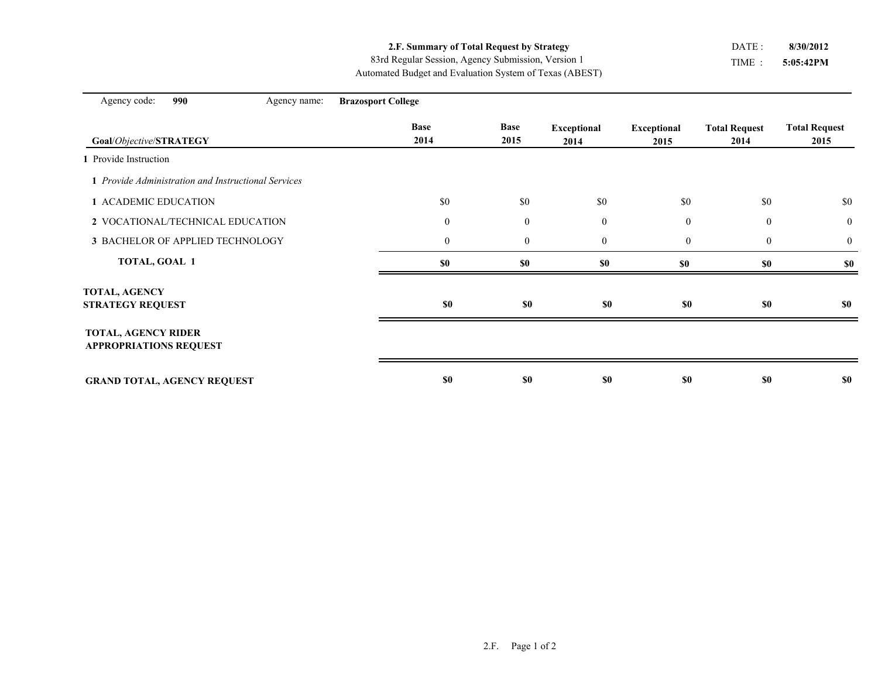**2.F. Summary of Total Request by Strategy**

Automated Budget and Evaluation System of Texas (ABEST) 83rd Regular Session, Agency Submission, Version 1

TIME : **5:05:42PM** DATE : **8/30/2012**

| Agency code:<br>990                                         | Agency name: | <b>Brazosport College</b> |                     |                            |                            |                              |                              |
|-------------------------------------------------------------|--------------|---------------------------|---------------------|----------------------------|----------------------------|------------------------------|------------------------------|
| Goal/Objective/STRATEGY                                     |              | <b>Base</b><br>2014       | <b>Base</b><br>2015 | <b>Exceptional</b><br>2014 | <b>Exceptional</b><br>2015 | <b>Total Request</b><br>2014 | <b>Total Request</b><br>2015 |
| 1 Provide Instruction                                       |              |                           |                     |                            |                            |                              |                              |
| 1 Provide Administration and Instructional Services         |              |                           |                     |                            |                            |                              |                              |
| 1 ACADEMIC EDUCATION                                        |              | \$0                       | \$0                 | \$0                        | \$0                        | \$0                          | \$0                          |
| 2 VOCATIONAL/TECHNICAL EDUCATION                            |              | $\boldsymbol{0}$          | $\mathbf{0}$        | $\boldsymbol{0}$           | $\mathbf{0}$               | $\mathbf{0}$                 | $\overline{0}$               |
| 3 BACHELOR OF APPLIED TECHNOLOGY                            |              | $\mathbf{0}$              | $\mathbf{0}$        | $\boldsymbol{0}$           | $\mathbf{0}$               | $\boldsymbol{0}$             | $\overline{0}$               |
| TOTAL, GOAL 1                                               |              | $\$0$                     | \$0                 | \$0                        | \$0                        | \$0                          | \$0                          |
| <b>TOTAL, AGENCY</b><br><b>STRATEGY REQUEST</b>             |              | \$0                       | \$0                 | \$0                        | \$0                        | <b>\$0</b>                   | \$0                          |
| <b>TOTAL, AGENCY RIDER</b><br><b>APPROPRIATIONS REQUEST</b> |              |                           |                     |                            |                            |                              |                              |
| <b>GRAND TOTAL, AGENCY REQUEST</b>                          |              | \$0                       | <b>\$0</b>          | \$0                        | \$0                        | <b>\$0</b>                   | \$0                          |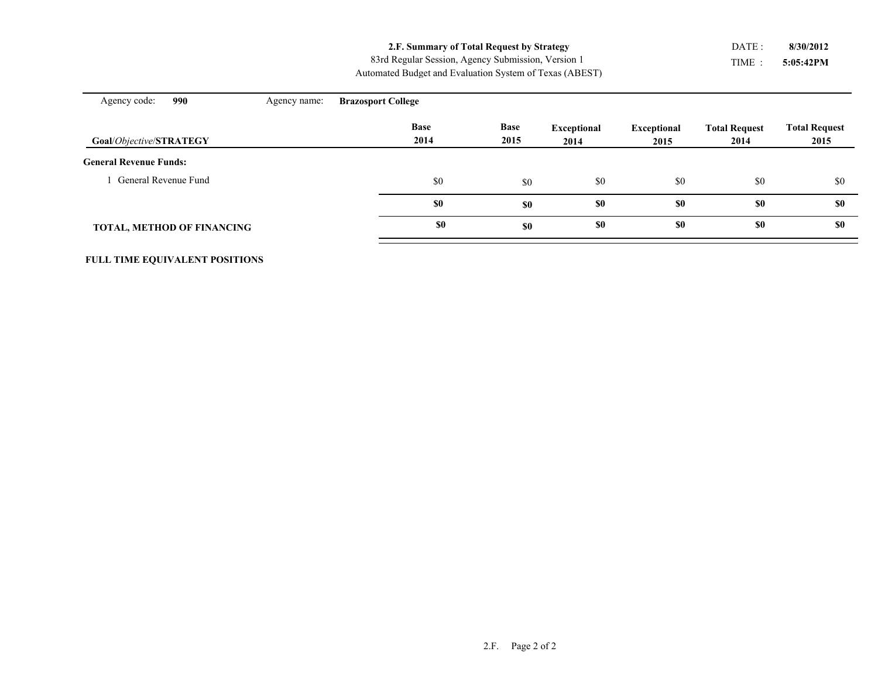**2.F. Summary of Total Request by Strategy**

Automated Budget and Evaluation System of Texas (ABEST) 83rd Regular Session, Agency Submission, Version 1

TIME : **5:05:42PM** DATE : **8/30/2012**

| 990<br>Agency code:               | Agency name: | <b>Brazosport College</b> |                     |                            |                            |                              |                              |
|-----------------------------------|--------------|---------------------------|---------------------|----------------------------|----------------------------|------------------------------|------------------------------|
| Goal/Objective/STRATEGY           |              | <b>Base</b><br>2014       | <b>Base</b><br>2015 | <b>Exceptional</b><br>2014 | <b>Exceptional</b><br>2015 | <b>Total Request</b><br>2014 | <b>Total Request</b><br>2015 |
| <b>General Revenue Funds:</b>     |              |                           |                     |                            |                            |                              |                              |
| General Revenue Fund              |              | \$0                       | \$0                 | \$0                        | \$0                        | \$0                          | \$0                          |
|                                   |              | \$0                       | \$0                 | \$0                        | \$0                        | \$0                          | \$0                          |
| <b>TOTAL, METHOD OF FINANCING</b> |              | <b>SO</b>                 | \$0                 | \$0                        | \$0                        | \$0                          | \$0                          |

**FULL TIME EQUIVALENT POSITIONS**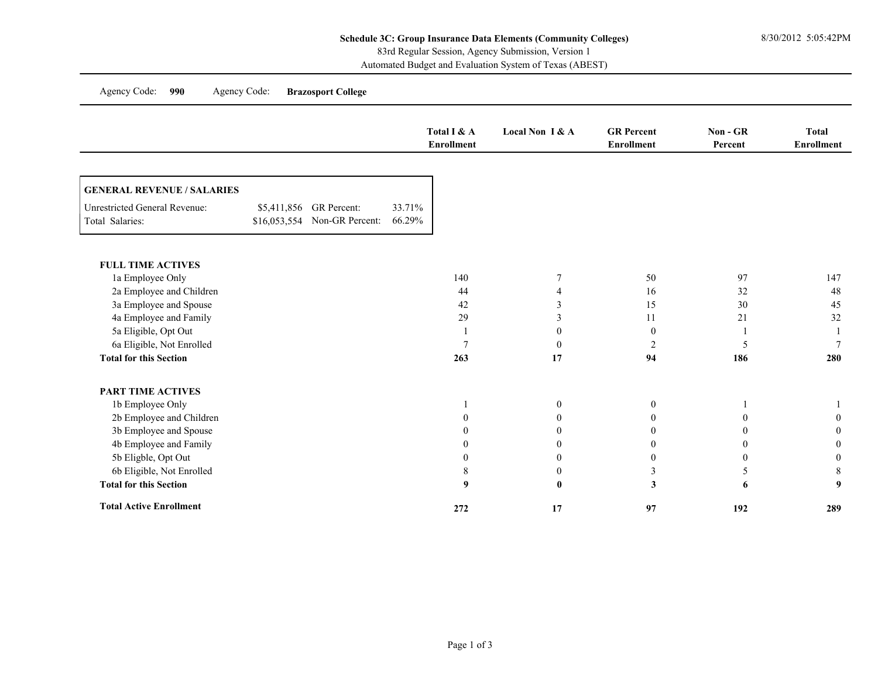Automated Budget and Evaluation System of Texas (ABEST)

|                                                         |                         |                              |                  | Total I & A<br><b>Enrollment</b> | Local Non I & A | <b>GR</b> Percent<br><b>Enrollment</b> | Non - GR<br>Percent | <b>Total</b><br><b>Enrollment</b> |
|---------------------------------------------------------|-------------------------|------------------------------|------------------|----------------------------------|-----------------|----------------------------------------|---------------------|-----------------------------------|
| <b>GENERAL REVENUE / SALARIES</b>                       |                         |                              |                  |                                  |                 |                                        |                     |                                   |
| <b>Unrestricted General Revenue:</b><br>Total Salaries: | \$5,411,856 GR Percent: | \$16,053,554 Non-GR Percent: | 33.71%<br>66.29% |                                  |                 |                                        |                     |                                   |
| <b>FULL TIME ACTIVES</b>                                |                         |                              |                  |                                  |                 |                                        |                     |                                   |
| 1a Employee Only                                        |                         |                              |                  | 140                              | 7               | 50                                     | 97                  | 147                               |
| 2a Employee and Children                                |                         |                              |                  | 44                               | 4               | 16                                     | 32                  | 48                                |
| 3a Employee and Spouse                                  |                         |                              |                  | 42                               | 3               | 15                                     | 30                  | 45                                |
| 4a Employee and Family                                  |                         |                              |                  | 29                               | 3               | 11                                     | 21                  | 32                                |
| 5a Eligible, Opt Out                                    |                         |                              |                  |                                  | $\mathbf{0}$    | $\boldsymbol{0}$                       |                     |                                   |
| 6a Eligible, Not Enrolled                               |                         |                              |                  | $\overline{7}$                   | $\mathbf{0}$    | $\overline{2}$                         | 5                   | $\tau$                            |
| <b>Total for this Section</b>                           |                         |                              |                  | 263                              | 17              | 94                                     | 186                 | 280                               |
| <b>PART TIME ACTIVES</b>                                |                         |                              |                  |                                  |                 |                                        |                     |                                   |
| 1b Employee Only                                        |                         |                              |                  |                                  | $\overline{0}$  | $\boldsymbol{0}$                       |                     |                                   |
| 2b Employee and Children                                |                         |                              |                  | $\theta$                         | $\Omega$        | $\boldsymbol{0}$                       | $\theta$            | $\Omega$                          |
| 3b Employee and Spouse                                  |                         |                              |                  | $\theta$                         | 0               | $\mathbf{0}$                           | $\theta$            | $\theta$                          |
| 4b Employee and Family                                  |                         |                              |                  | $\overline{0}$                   | $\mathbf{0}$    | $\mathbf{0}$                           | $\mathbf{0}$        | $\theta$                          |
| 5b Eligble, Opt Out                                     |                         |                              |                  | $\theta$                         | $\Omega$        | $\boldsymbol{0}$                       | $\overline{0}$      | $\theta$                          |
| 6b Eligible, Not Enrolled                               |                         |                              |                  | 8                                | $\mathbf{0}$    | $\mathfrak{Z}$                         | 5                   | 8                                 |
| <b>Total for this Section</b>                           |                         |                              |                  | 9                                | $\bf{0}$        | $\mathbf{3}$                           | 6                   | 9                                 |
| <b>Total Active Enrollment</b>                          |                         |                              |                  | 272                              | 17              | 97                                     | 192                 | 289                               |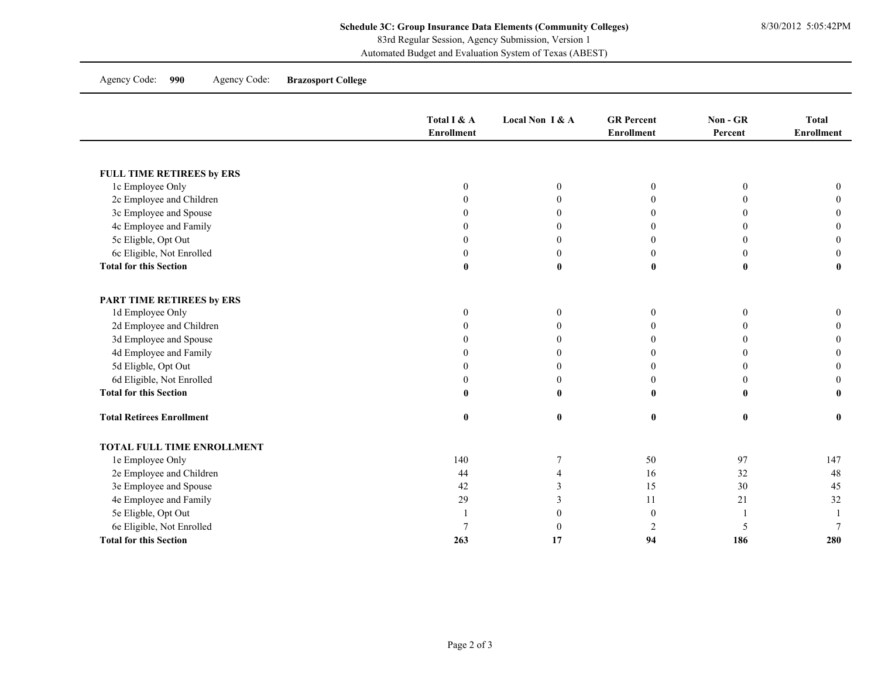Automated Budget and Evaluation System of Texas (ABEST)

Agency Code: **990** Agency Code: **Brazosport College**

|                                  | Total I & A<br><b>Enrollment</b> | Local Non I & A  | <b>GR</b> Percent<br><b>Enrollment</b> | Non - GR<br>Percent | <b>Total</b><br><b>Enrollment</b> |
|----------------------------------|----------------------------------|------------------|----------------------------------------|---------------------|-----------------------------------|
|                                  |                                  |                  |                                        |                     |                                   |
| FULL TIME RETIREES by ERS        |                                  |                  |                                        |                     |                                   |
| 1c Employee Only                 | $\mathbf{0}$                     | $\boldsymbol{0}$ | $\theta$                               | $\theta$            | $\mathbf{0}$                      |
| 2c Employee and Children         |                                  | $\Omega$         | $\Omega$                               | 0                   |                                   |
| 3c Employee and Spouse           |                                  | $\Omega$         | $\theta$                               | 0                   |                                   |
| 4c Employee and Family           |                                  | $\Omega$         | $\theta$                               | $\Omega$            |                                   |
| 5c Eligble, Opt Out              |                                  | $\theta$         | $\boldsymbol{0}$                       | 0                   |                                   |
| 6c Eligible, Not Enrolled        |                                  | $\Omega$         | $\boldsymbol{0}$                       | $\Omega$            |                                   |
| <b>Total for this Section</b>    | $\mathbf{0}$                     | $\mathbf{0}$     | $\bf{0}$                               | $\bf{0}$            |                                   |
| PART TIME RETIREES by ERS        |                                  |                  |                                        |                     |                                   |
| 1d Employee Only                 | $\theta$                         | $\mathbf{0}$     | $\mathbf{0}$                           | $\mathbf{0}$        | $\Omega$                          |
| 2d Employee and Children         |                                  | $\Omega$         | $\theta$                               | $\Omega$            |                                   |
| 3d Employee and Spouse           |                                  | $\theta$         | $\theta$                               | 0                   |                                   |
| 4d Employee and Family           | 0                                | $\Omega$         | $\mathbf{0}$                           | 0                   |                                   |
| 5d Eligble, Opt Out              |                                  | $\Omega$         | $\mathbf{0}$                           | 0                   |                                   |
| 6d Eligible, Not Enrolled        | $\theta$                         | $\theta$         | $\boldsymbol{0}$                       | $\Omega$            |                                   |
| <b>Total for this Section</b>    | $\mathbf{0}$                     | $\mathbf{0}$     | $\bf{0}$                               | $\mathbf{0}$        |                                   |
| <b>Total Retirees Enrollment</b> | $\bf{0}$                         | $\bf{0}$         | $\bf{0}$                               | $\bf{0}$            | $\mathbf{0}$                      |
| TOTAL FULL TIME ENROLLMENT       |                                  |                  |                                        |                     |                                   |
| 1e Employee Only                 | 140                              | $\overline{7}$   | 50                                     | 97                  | 147                               |
| 2e Employee and Children         | 44                               | $\overline{4}$   | 16                                     | 32                  | 48                                |
| 3e Employee and Spouse           | 42                               | 3                | 15                                     | 30                  | 45                                |
| 4e Employee and Family           | 29                               | 3                | 11                                     | 21                  | 32                                |
| 5e Eligble, Opt Out              |                                  | $\theta$         | $\mathbf{0}$                           |                     |                                   |
| 6e Eligible, Not Enrolled        |                                  | $\theta$         | 2                                      | 5                   |                                   |
| <b>Total for this Section</b>    | 263                              | 17               | 94                                     | 186                 | 280                               |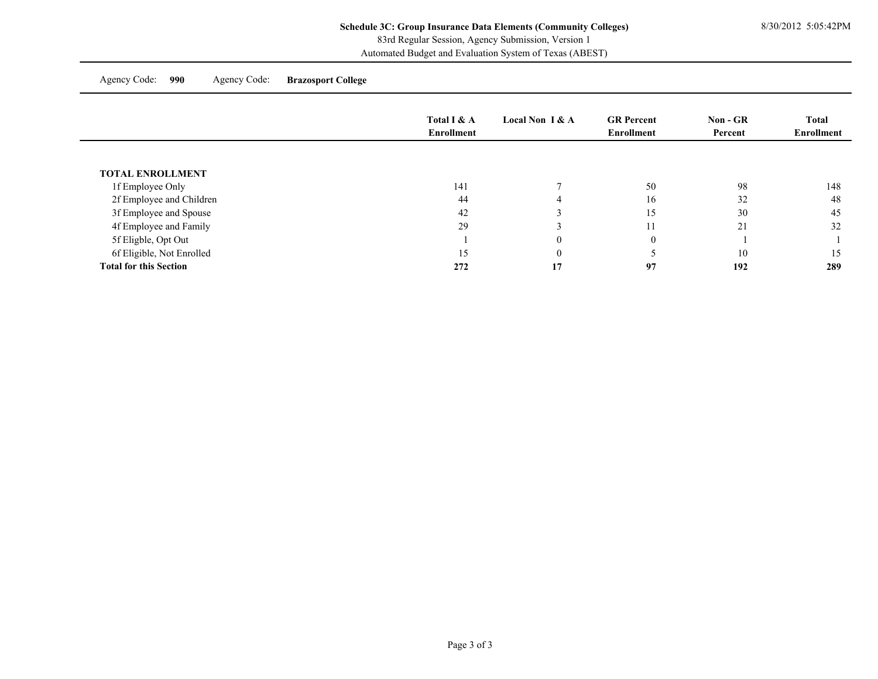Automated Budget and Evaluation System of Texas (ABEST)

Agency Code: **990** Agency Code: **Brazosport College**

|                               | Total I & A | Local Non $I & A$ | <b>GR</b> Percent | $Non - GR$ | <b>Total</b> |
|-------------------------------|-------------|-------------------|-------------------|------------|--------------|
|                               | Enrollment  |                   | <b>Enrollment</b> | Percent    | Enrollment   |
|                               |             |                   |                   |            |              |
| <b>TOTAL ENROLLMENT</b>       |             |                   |                   |            |              |
| 1f Employee Only              | 141         |                   | 50                | 98         | 148          |
| 2f Employee and Children      | 44          |                   | 16                | 32         | 48           |
| 3f Employee and Spouse        | 42          |                   | 15                | 30         | 45           |
| 4f Employee and Family        | 29          |                   | 11                | 21         | 32           |
| 5f Eligble, Opt Out           |             | $\Omega$          | $\overline{0}$    |            |              |
| 6f Eligible, Not Enrolled     | 15          | $\theta$          |                   | 10         | 15           |
| <b>Total for this Section</b> | 272         | 17                | 97                | 192        | 289          |